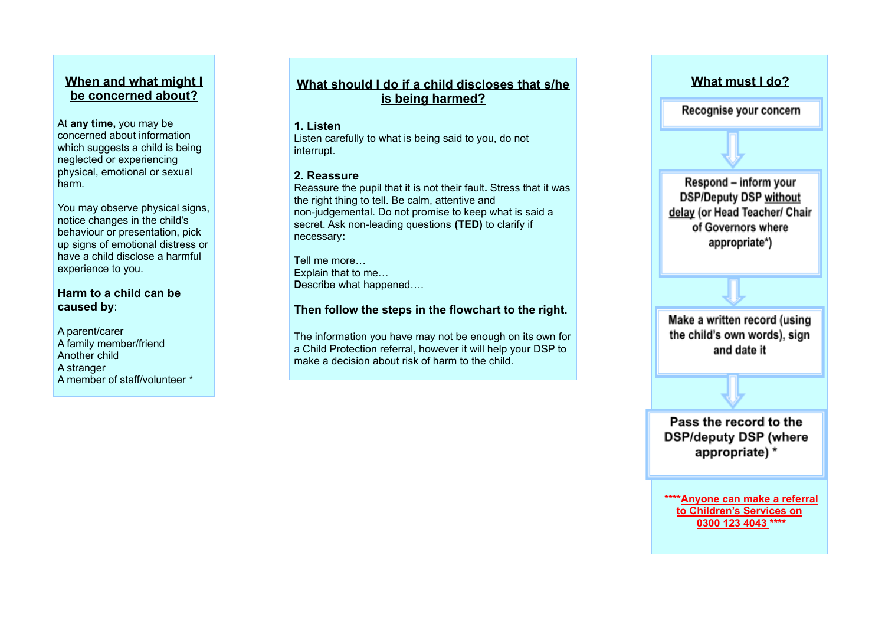## **When and what might I be concerned about?**

At **any time,** you may be concerned about information which suggests a child is being neglected or experiencing physical, emotional or sexual harm.

You may observe physical signs, notice changes in the child's behaviour or presentation, pick up signs of emotional distress or have a child disclose a harmful experience to you.

#### **Harm to a child can be caused by**:

A parent/carer A family member/friend Another child A stranger A member of staff/volunteer \*

# **What should I do if a child discloses that s/he is being harmed?**

#### **1. Listen**

Listen carefully to what is being said to you, do not interrupt.

#### **2. Reassure**

Reassure the pupil that it is not their fault**.** Stress that it was the right thing to tell. Be calm, attentive and non-judgemental. Do not promise to keep what is said a secret. Ask non-leading questions **(TED)** to clarify if necessary**:**

**T**ell me more… **E**xplain that to me… **D**escribe what happened….

### **Then follow the steps in the flowchart to the right.**

The information you have may not be enough on its own for a Child Protection referral, however it will help your DSP to make a decision about risk of harm to the child.



Recognise your concern

Respond - inform your **DSP/Deputy DSP without** delay (or Head Teacher/ Chair of Governors where appropriate\*)

Make a written record (using the child's own words), sign and date it

Pass the record to the **DSP/deputy DSP (where** appropriate) \*

**\*\*\*\*Anyone can make a referral to Children's Services on 0300 123 4043 \*\*\*\***